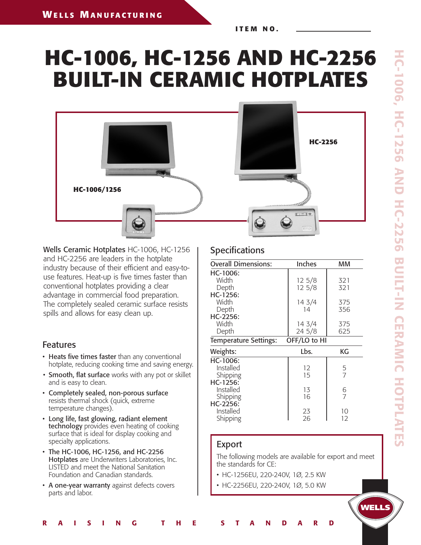**I T E M N O .**

# **HC-1006, HC-1256 AND HC-2256 BUILT-IN CERAMIC HOTPLATES**



Wells Ceramic Hotplates HC-1006, HC-1256 and HC-2256 are leaders in the hotplate industry because of their efficient and easy-touse features. Heat-up is five times faster than conventional hotplates providing a clear advantage in commercial food preparation. The completely sealed ceramic surface resists spills and allows for easy clean up.

### Features

- Heats five times faster than any conventional hotplate, reducing cooking time and saving energy.
- Smooth, flat surface works with any pot or skillet and is easy to clean.
- Completely sealed, non-porous surface resists thermal shock (quick, extreme temperature changes).
- Long life, fast glowing, radiant element technology provides even heating of cooking surface that is ideal for display cooking and specialty applications.
- The HC-1006, HC-1256, and HC-2256 Hotplates are Underwriters Laboratories, Inc. LISTED and meet the National Sanitation Foundation and Canadian standards.
- A one-year warranty against defects covers parts and labor.

## **Specifications**

| <b>Overall Dimensions:</b>   | Inches       | мм             |
|------------------------------|--------------|----------------|
| HC-1006:                     |              |                |
| Width                        | 12 5/8       | 321            |
| Depth                        | $12\,5/8$    | 321            |
| HC-1256:                     |              |                |
| Width                        | 14 3/4       | 375            |
| Depth                        | 14           | 356            |
| HC-2256:                     |              |                |
| Width                        | 14 3/4       | 375            |
| Depth                        | 24 5/8       | 625            |
| <b>Temperature Settings:</b> | OFF/LO to HI |                |
| Weights:                     | Lbs.         | КG             |
| HC-1006:                     |              |                |
| Installed                    | 12           | 5              |
| Shipping                     | 15           | $\overline{7}$ |
| HC-1256:                     |              |                |
| Installed                    | 13           | 6              |
| Shipping                     | 16           | 7              |
| HC-2256:                     |              |                |
| Installed                    | 23           | 10             |
| Shipping                     | 26           | 12             |

## Export

R A I S I N G T H E S T A N D A R D

The following models are available for export and meet the standards for CE:

- HC-1256EU, 220-240V, 1Ø, 2.5 KW
- HC-2256EU, 220-240V, 1Ø, 5.0 KW

**WELLS**